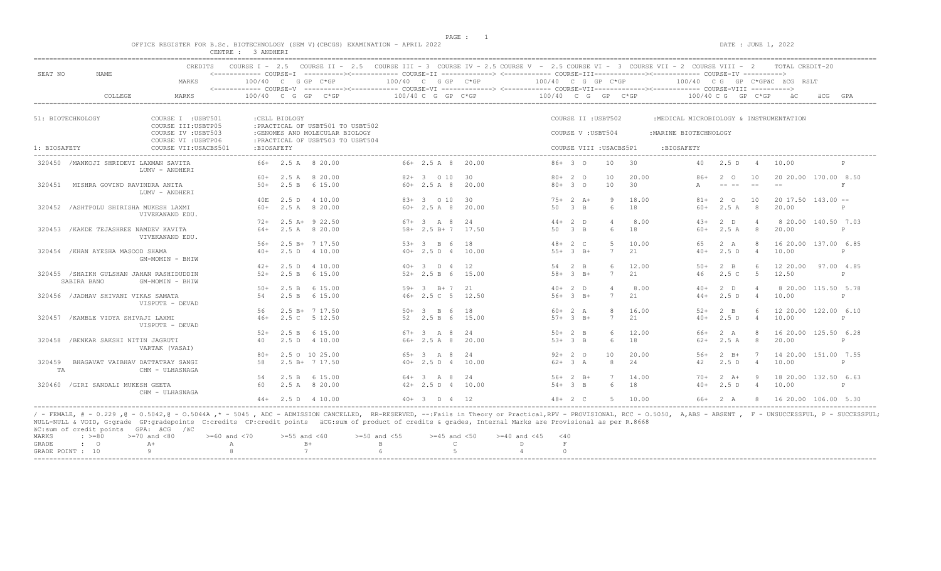PAGE : 1

 $DATA: JUNE 1, 2022$ 

|  |  |  |           |  | OFFICE REGISTER FOR B.Sc. BIOTECHNOLOGY (SEM V)(CBCGS) EXAMINATION - APRIL 2022 |  |  |
|--|--|--|-----------|--|---------------------------------------------------------------------------------|--|--|
|  |  |  | 3 ANDHERI |  |                                                                                 |  |  |

| SEAT NO      | NAME                                                    | CREDITS<br>MARKS                                                                                                                                                                                                                  |             |                | COURSE I - 2.5 COURSE II - 2.5 COURSE III - 3 COURSE IV - 2.5 COURSE V - 2.5 COURSE VI - 3 COURSE VII - 2 COURSE VIII - 2 TOTAL CREDIT-20<br><------------ COURSE-I ----------><----------- COURSE-II -------------> <------------ COURSE-III------------><----------- COURSE-IV ----------><br>$100/40$ C G GP C*GP | 100/40 C G GP C*GP     |                 | 100/40 C G GP C*GP |              |                   |                         |         |                                         |                              |                | 100/40 CG GP C*GPäC äCG RSLT   |              |
|--------------|---------------------------------------------------------|-----------------------------------------------------------------------------------------------------------------------------------------------------------------------------------------------------------------------------------|-------------|----------------|----------------------------------------------------------------------------------------------------------------------------------------------------------------------------------------------------------------------------------------------------------------------------------------------------------------------|------------------------|-----------------|--------------------|--------------|-------------------|-------------------------|---------|-----------------------------------------|------------------------------|----------------|--------------------------------|--------------|
|              | COLLEGE                                                 | MARKS                                                                                                                                                                                                                             |             |                | $100/40$ C G GP C*GP                                                                                                                                                                                                                                                                                                 | 100/40 C G GP C*GP     |                 | 100/40 C G GP C*GP |              |                   |                         |         |                                         | $100/40 \, C \, G$ GP $C*GP$ |                | a ac                           | GPA          |
|              |                                                         |                                                                                                                                                                                                                                   |             |                |                                                                                                                                                                                                                                                                                                                      |                        |                 |                    |              |                   |                         |         |                                         |                              |                |                                |              |
|              | 51: BIOTECHNOLOGY                                       | COURSE I : USBT501<br>COURSE III: USBTP05                                                                                                                                                                                         |             | : CELL BIOLOGY | : PRACTICAL OF USBT501 TO USBT502                                                                                                                                                                                                                                                                                    |                        |                 |                    |              |                   | COURSE II : USBT502     |         | :MEDICAL MICROBIOLOGY & INSTRUMENTATION |                              |                |                                |              |
|              |                                                         | COURSE IV : USBT503<br>COURSE VI : USBTP06                                                                                                                                                                                        |             |                | :GENOMES AND MOLECULAR BIOLOGY<br>: PRACTICAL OF USBT503 TO USBT504                                                                                                                                                                                                                                                  |                        |                 |                    |              | COURSE V: USBT504 |                         |         | : MARINE BIOTECHNOLOGY                  |                              |                |                                |              |
| 1: BIOSAFETY |                                                         | COURSE VII:USACBS501                                                                                                                                                                                                              | : BIOSAFETY |                |                                                                                                                                                                                                                                                                                                                      |                        |                 |                    |              |                   | COURSE VIII : USACBS5P1 |         | :BIOSAFETY                              |                              |                |                                |              |
|              | 320450 / MANKOJI SHRIDEVI LAXMAN SAVITA                 | LUMV - ANDHERI                                                                                                                                                                                                                    |             |                | 66+ 2.5 A 8 20.00                                                                                                                                                                                                                                                                                                    | $66+2.5$ A 8 20.00     |                 | $86+30$            |              |                   | 10 30                   |         |                                         | 40 2.5 D 4                   |                | 10.00                          | $\mathbf{P}$ |
|              |                                                         |                                                                                                                                                                                                                                   | 60+         |                | 2.5 A 8 20.00                                                                                                                                                                                                                                                                                                        | 82+ 3 0 10             | 30              |                    | $80+20$      |                   | 10                      | 20.00   | 86+                                     | 2 0                          | 10             | 20 20.00 170.00 8.50           |              |
| 320451       | MISHRA GOVIND RAVINDRA ANITA                            | LUMV - ANDHERI                                                                                                                                                                                                                    |             |                | $50+$ 2.5 B 6 15.00                                                                                                                                                                                                                                                                                                  | $60 + 2.5$ A 8 20.00   |                 |                    | $80+30$      |                   | 10                      | 30      | $\triangleright$                        |                              |                | $- -$                          | F            |
|              |                                                         |                                                                                                                                                                                                                                   |             |                | 40E 2.5 D 4 10.00                                                                                                                                                                                                                                                                                                    | $83+3$ 0 10            | $\overline{30}$ |                    | $75+2 A+$    |                   | 9                       | 18.00   | $81+$                                   | 2 0                          | 10             | $20$ 17.50 143.00 $-$          |              |
|              | 320452 / ASHTPOLU SHIRISHA MUKESH LAXMI                 | VIVEKANAND EDU.                                                                                                                                                                                                                   | 60+         |                | 2.5 A 8 20.00                                                                                                                                                                                                                                                                                                        | $60+ 2.5 A 8 20.00$    |                 |                    | 50 3 B       |                   | 6                       | 18      | 60+                                     | 2.5 A                        | $_{\rm 8}$     | 20.00                          | P            |
|              |                                                         |                                                                                                                                                                                                                                   |             |                | $72+$ 2.5 A+ 9 22.50                                                                                                                                                                                                                                                                                                 | $67 + 3$ A 8 24        |                 |                    | $44+2$ D     |                   |                         | 8.00    | $4.3+$                                  | 2 D                          | $\overline{4}$ | 8 20.00 140.50 7.03            |              |
|              | 320453 / KAKDE TEJASHREE NAMDEV KAVITA                  | VIVEKANAND EDU.                                                                                                                                                                                                                   | 64+         |                | 2.5 A 8 20.00                                                                                                                                                                                                                                                                                                        | $58 + 2.5 B + 7 17.50$ |                 |                    | 50 3 B       |                   | 6                       | 18      | $60+$                                   | 2.5 A                        | -8             | 20.00                          | P            |
|              |                                                         |                                                                                                                                                                                                                                   | $56+$       |                | 2.5 B+ 7 17.50                                                                                                                                                                                                                                                                                                       | $53+3$ B 6             | 18              |                    | $48 + 2 C$   |                   | -5                      | 10.00   | 65                                      | 2 A                          | - 8            | 16 20.00 137.00 6.85           |              |
|              | 320454 / KHAN AYESHA MASOOD SHAMA                       | GM-MOMIN - BHIW                                                                                                                                                                                                                   | $40+$       |                | 2.5 D 4 10.00                                                                                                                                                                                                                                                                                                        | $40+ 2.5 D 4 10.00$    |                 |                    | $55+3$ B+    |                   | 7                       | 21      | $40+$                                   | 2.5 D                        | $\overline{4}$ | 10.00                          | P            |
|              |                                                         |                                                                                                                                                                                                                                   |             |                | $42+$ 2.5 D 4 10.00                                                                                                                                                                                                                                                                                                  | $40+3$ D $4$ 12        |                 |                    | 54 2 B       |                   |                         | 12.00   | $50+$                                   | $2 \quad B$                  | 6              | 12 20.00 97.00 4.85            |              |
|              | 320455 /SHAIKH GULSHAN JAHAN RASHIDUDDIN<br>SABIRA BANO | GM-MOMIN - BHIW                                                                                                                                                                                                                   |             |                | $52+$ 2.5 B 6 15.00                                                                                                                                                                                                                                                                                                  | $52+2.5 B 6 15.00$     |                 |                    | $58 + 3$ R+  |                   | 7                       | 2.1     | 46                                      | $2.5C$ 5                     |                | 12.50                          | P            |
|              |                                                         |                                                                                                                                                                                                                                   | 50+         |                | 2.5 B 6 15.00                                                                                                                                                                                                                                                                                                        | $59+ 3 B+ 7 21$        |                 |                    | $40+2$ D     |                   |                         | 8.00    | $40+$                                   | $2$ D                        | $\overline{4}$ | 8 20.00 115.50 5.78            |              |
|              | 320456 / JADHAV SHIVANI VIKAS SAMATA                    | VISPUTE - DEVAD                                                                                                                                                                                                                   | 54          |                | 2.5 B 6 15.00                                                                                                                                                                                                                                                                                                        | 46+ 2.5 C 5 12.50      |                 |                    | $56+3$ B+    |                   | 7                       | 2.1     | $44+$                                   | 2.5 D                        | $\overline{4}$ | 10.00                          | P            |
|              |                                                         |                                                                                                                                                                                                                                   | 56          |                | 2.5 B+ 7 17.50                                                                                                                                                                                                                                                                                                       | $50+3$ B 6             | 18              |                    | $60+2 A$     |                   |                         | 16.00   | $52+$                                   | $2 \quad B$                  | -6             | 12 20.00 122.00 6.10           |              |
|              | 320457 / KAMBLE VIDYA SHIVAJI LAXMI                     | VISPUTE - DEVAD                                                                                                                                                                                                                   | $46+$       |                | 2.5 C 5 12.50                                                                                                                                                                                                                                                                                                        | 52 2.5 B 6 15.00       |                 |                    | $57 + 3 B +$ |                   | 7                       | 21      | $40+$                                   | 2.5 D                        | $\overline{4}$ | 10.00                          | P            |
|              |                                                         |                                                                                                                                                                                                                                   | $52+$       |                | 2.5 B 6 15.00                                                                                                                                                                                                                                                                                                        | $67 + 3$ A 8           | 24              |                    | $50+2$ B     |                   |                         | 12.00   | 66+                                     | 2 A                          | -8             | 16 20.00 125.50 6.28           |              |
|              | 320458 /BENKAR SAKSHI NITIN JAGRUTI                     | VARTAK (VASAI)                                                                                                                                                                                                                    | 40          |                | 2.5 D 4 10.00                                                                                                                                                                                                                                                                                                        | 66+ 2.5 A 8 20.00      |                 |                    | $53+3$ B     |                   | 6                       | 18      | $62+$                                   | 2.5 A 8                      |                | 20.00                          | P            |
|              |                                                         |                                                                                                                                                                                                                                   | $80+$       |                | 2.5 0 10 25.00                                                                                                                                                                                                                                                                                                       | 65+ 3 A 8 24           |                 |                    | $92+20$      |                   | 10                      | 20.00   | $56+$                                   | $2 \quad B+$                 | $7\phantom{0}$ | 14 20.00 151.00 7.55           |              |
| 320459<br>TA | BHAGAVAT VAIBHAV DATTATRAY SANGI                        | CHM - ULHASNAGA                                                                                                                                                                                                                   | 58          |                | $2.5 B+ 7 17.50$                                                                                                                                                                                                                                                                                                     | $40+ 2.5 D 4 10.00$    |                 |                    | $62+3 A$     |                   | -8                      | 2.4     | 42                                      | 2.5 D 4                      |                | 10.00                          | P            |
|              |                                                         |                                                                                                                                                                                                                                   | .54         |                | 2.5 B 6 15.00                                                                                                                                                                                                                                                                                                        | $64 + 3$ A 8 24        |                 |                    | $56+2 B+$    |                   |                         | 14.00   | $70+$                                   | $2+A+$                       | $\overline{9}$ | 18 20.00 132.50 6.63           |              |
|              | 320460 / GIRI SANDALI MUKESH GEETA                      | CHM - ULHASNAGA                                                                                                                                                                                                                   | 60          |                | 2.5 A 8 20.00                                                                                                                                                                                                                                                                                                        | $42+$ 2.5 D 4 10.00    |                 |                    | $54+3$ B     |                   | 6                       | 18      | $40+$                                   | 2.5 D 4                      |                | 10.00                          | P            |
|              |                                                         |                                                                                                                                                                                                                                   |             |                | $44+$ 2.5 D 4 10.00                                                                                                                                                                                                                                                                                                  | $40+3$ D $4$ 12        |                 |                    | $48 + 2 C$   |                   |                         | 5 10.00 |                                         |                              |                | 66+ 2 A 8 16 20.00 106.00 5.30 |              |
|              |                                                         | $\ell$ process $\ell$ . A case of a case to calculate the second contraction of the contract of the contractions were a contract of the contract of the second of the second of the second of the second of the second of the sec |             |                |                                                                                                                                                                                                                                                                                                                      |                        |                 |                    |              |                   |                         |         |                                         |                              |                |                                |              |

/ - FEMALE, # - 0.229 ,@ - O.5042,@ - O.5044A ,\* - 5045 , ADC - ADMISSION CANCELLED, RR-RESERVED, --:Fails in Theory or Practical,RPV - PROVISIONAL, RCC - O.5050, A,ABS - ABSENT , F - UNSUCCESSFUL, P - SUCCESSFUL; NULL-NULL & VOID, G:grade GP:gradepoints C:credits CP:credit points äCG:sum of product of credits & grades, Internal Marks are Provisional as per R.8668 äC:sum of credit points GPA: äCG /äC  $\begin{array}{lllllllllll} \text{MARKS} & : & \text{ & \texttt{>=0} & \texttt{=70} & \text{and} & \texttt{<80} & \texttt{=60} & \text{and} & \texttt{<70} & \texttt{=55} & \text{and} & \texttt{<60} & \texttt{=50} & \text{and} & \texttt{<55} & \texttt{=45} & \text{and} & \texttt{<50} & \texttt{=40} & \text{and} & \texttt{<45} & \texttt{<40} \\ \text{GRADE} & : & \text{O} & \text{A+} & \text{A} & \text{B+}$ GRADE : O A+ A A B+ B C D F GRADE POINT : 10 9 8 8 7 6 5 5 4 0

-----------------------------------------------------------------------------------------------------------------------------------------------------------------------------------------------------------------------